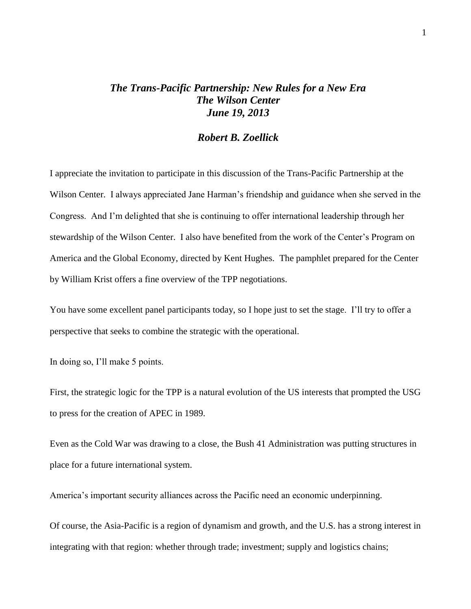## *The Trans-Pacific Partnership: New Rules for a New Era The Wilson Center June 19, 2013*

## *Robert B. Zoellick*

I appreciate the invitation to participate in this discussion of the Trans-Pacific Partnership at the Wilson Center. I always appreciated Jane Harman's friendship and guidance when she served in the Congress. And I'm delighted that she is continuing to offer international leadership through her stewardship of the Wilson Center. I also have benefited from the work of the Center's Program on America and the Global Economy, directed by Kent Hughes. The pamphlet prepared for the Center by William Krist offers a fine overview of the TPP negotiations.

You have some excellent panel participants today, so I hope just to set the stage. I'll try to offer a perspective that seeks to combine the strategic with the operational.

In doing so, I'll make 5 points.

First, the strategic logic for the TPP is a natural evolution of the US interests that prompted the USG to press for the creation of APEC in 1989.

Even as the Cold War was drawing to a close, the Bush 41 Administration was putting structures in place for a future international system.

America's important security alliances across the Pacific need an economic underpinning.

Of course, the Asia-Pacific is a region of dynamism and growth, and the U.S. has a strong interest in integrating with that region: whether through trade; investment; supply and logistics chains;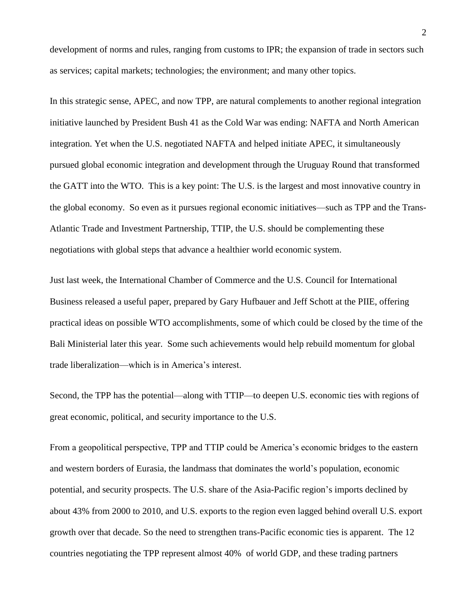development of norms and rules, ranging from customs to IPR; the expansion of trade in sectors such as services; capital markets; technologies; the environment; and many other topics.

In this strategic sense, APEC, and now TPP, are natural complements to another regional integration initiative launched by President Bush 41 as the Cold War was ending: NAFTA and North American integration. Yet when the U.S. negotiated NAFTA and helped initiate APEC, it simultaneously pursued global economic integration and development through the Uruguay Round that transformed the GATT into the WTO. This is a key point: The U.S. is the largest and most innovative country in the global economy. So even as it pursues regional economic initiatives—such as TPP and the Trans-Atlantic Trade and Investment Partnership, TTIP, the U.S. should be complementing these negotiations with global steps that advance a healthier world economic system.

Just last week, the International Chamber of Commerce and the U.S. Council for International Business released a useful paper, prepared by Gary Hufbauer and Jeff Schott at the PIIE, offering practical ideas on possible WTO accomplishments, some of which could be closed by the time of the Bali Ministerial later this year. Some such achievements would help rebuild momentum for global trade liberalization—which is in America's interest.

Second, the TPP has the potential—along with TTIP—to deepen U.S. economic ties with regions of great economic, political, and security importance to the U.S.

From a geopolitical perspective, TPP and TTIP could be America's economic bridges to the eastern and western borders of Eurasia, the landmass that dominates the world's population, economic potential, and security prospects. The U.S. share of the Asia-Pacific region's imports declined by about 43% from 2000 to 2010, and U.S. exports to the region even lagged behind overall U.S. export growth over that decade. So the need to strengthen trans-Pacific economic ties is apparent. The 12 countries negotiating the TPP represent almost 40% of world GDP, and these trading partners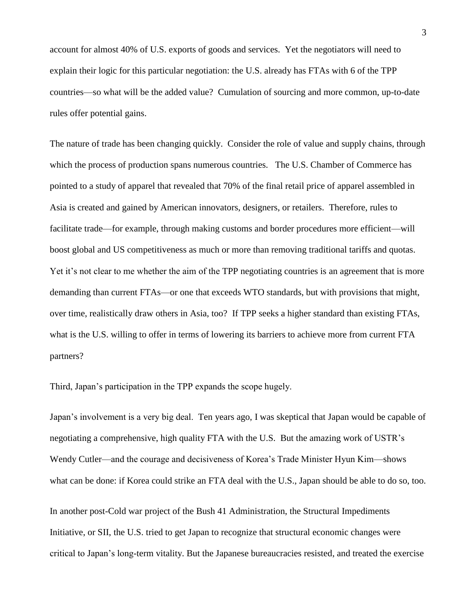account for almost 40% of U.S. exports of goods and services. Yet the negotiators will need to explain their logic for this particular negotiation: the U.S. already has FTAs with 6 of the TPP countries—so what will be the added value? Cumulation of sourcing and more common, up-to-date rules offer potential gains.

The nature of trade has been changing quickly. Consider the role of value and supply chains, through which the process of production spans numerous countries. The U.S. Chamber of Commerce has pointed to a study of apparel that revealed that 70% of the final retail price of apparel assembled in Asia is created and gained by American innovators, designers, or retailers. Therefore, rules to facilitate trade—for example, through making customs and border procedures more efficient—will boost global and US competitiveness as much or more than removing traditional tariffs and quotas. Yet it's not clear to me whether the aim of the TPP negotiating countries is an agreement that is more demanding than current FTAs—or one that exceeds WTO standards, but with provisions that might, over time, realistically draw others in Asia, too? If TPP seeks a higher standard than existing FTAs, what is the U.S. willing to offer in terms of lowering its barriers to achieve more from current FTA partners?

Third, Japan's participation in the TPP expands the scope hugely.

Japan's involvement is a very big deal. Ten years ago, I was skeptical that Japan would be capable of negotiating a comprehensive, high quality FTA with the U.S. But the amazing work of USTR's Wendy Cutler—and the courage and decisiveness of Korea's Trade Minister Hyun Kim—shows what can be done: if Korea could strike an FTA deal with the U.S., Japan should be able to do so, too.

In another post-Cold war project of the Bush 41 Administration, the Structural Impediments Initiative, or SII, the U.S. tried to get Japan to recognize that structural economic changes were critical to Japan's long-term vitality. But the Japanese bureaucracies resisted, and treated the exercise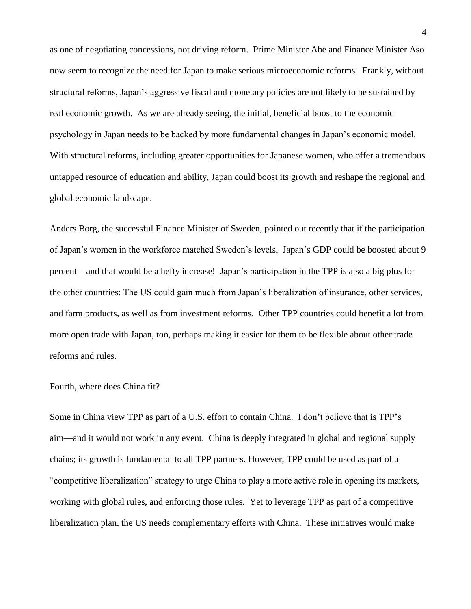as one of negotiating concessions, not driving reform. Prime Minister Abe and Finance Minister Aso now seem to recognize the need for Japan to make serious microeconomic reforms. Frankly, without structural reforms, Japan's aggressive fiscal and monetary policies are not likely to be sustained by real economic growth. As we are already seeing, the initial, beneficial boost to the economic psychology in Japan needs to be backed by more fundamental changes in Japan's economic model. With structural reforms, including greater opportunities for Japanese women, who offer a tremendous untapped resource of education and ability, Japan could boost its growth and reshape the regional and global economic landscape.

Anders Borg, the successful Finance Minister of Sweden, pointed out recently that if the participation of Japan's women in the workforce matched Sweden's levels, Japan's GDP could be boosted about 9 percent—and that would be a hefty increase! Japan's participation in the TPP is also a big plus for the other countries: The US could gain much from Japan's liberalization of insurance, other services, and farm products, as well as from investment reforms. Other TPP countries could benefit a lot from more open trade with Japan, too, perhaps making it easier for them to be flexible about other trade reforms and rules.

## Fourth, where does China fit?

Some in China view TPP as part of a U.S. effort to contain China. I don't believe that is TPP's aim—and it would not work in any event. China is deeply integrated in global and regional supply chains; its growth is fundamental to all TPP partners. However, TPP could be used as part of a "competitive liberalization" strategy to urge China to play a more active role in opening its markets, working with global rules, and enforcing those rules. Yet to leverage TPP as part of a competitive liberalization plan, the US needs complementary efforts with China. These initiatives would make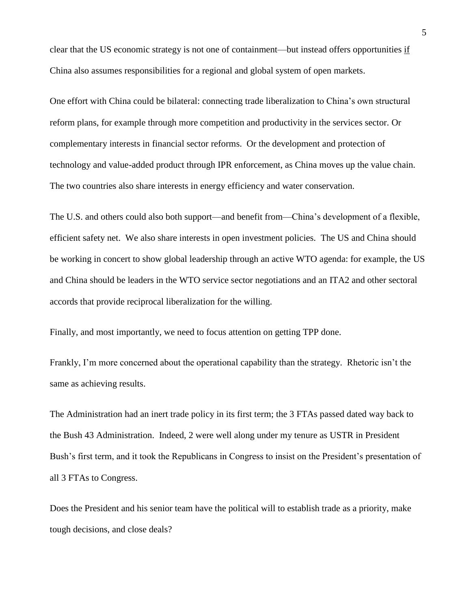clear that the US economic strategy is not one of containment—but instead offers opportunities if China also assumes responsibilities for a regional and global system of open markets.

One effort with China could be bilateral: connecting trade liberalization to China's own structural reform plans, for example through more competition and productivity in the services sector. Or complementary interests in financial sector reforms. Or the development and protection of technology and value-added product through IPR enforcement, as China moves up the value chain. The two countries also share interests in energy efficiency and water conservation.

The U.S. and others could also both support—and benefit from—China's development of a flexible, efficient safety net. We also share interests in open investment policies. The US and China should be working in concert to show global leadership through an active WTO agenda: for example, the US and China should be leaders in the WTO service sector negotiations and an ITA2 and other sectoral accords that provide reciprocal liberalization for the willing.

Finally, and most importantly, we need to focus attention on getting TPP done.

Frankly, I'm more concerned about the operational capability than the strategy. Rhetoric isn't the same as achieving results.

The Administration had an inert trade policy in its first term; the 3 FTAs passed dated way back to the Bush 43 Administration. Indeed, 2 were well along under my tenure as USTR in President Bush's first term, and it took the Republicans in Congress to insist on the President's presentation of all 3 FTAs to Congress.

Does the President and his senior team have the political will to establish trade as a priority, make tough decisions, and close deals?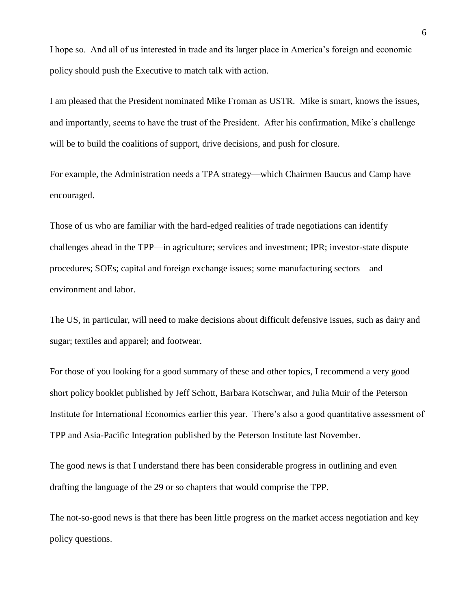I hope so. And all of us interested in trade and its larger place in America's foreign and economic policy should push the Executive to match talk with action.

I am pleased that the President nominated Mike Froman as USTR. Mike is smart, knows the issues, and importantly, seems to have the trust of the President. After his confirmation, Mike's challenge will be to build the coalitions of support, drive decisions, and push for closure.

For example, the Administration needs a TPA strategy—which Chairmen Baucus and Camp have encouraged.

Those of us who are familiar with the hard-edged realities of trade negotiations can identify challenges ahead in the TPP—in agriculture; services and investment; IPR; investor-state dispute procedures; SOEs; capital and foreign exchange issues; some manufacturing sectors—and environment and labor.

The US, in particular, will need to make decisions about difficult defensive issues, such as dairy and sugar; textiles and apparel; and footwear.

For those of you looking for a good summary of these and other topics, I recommend a very good short policy booklet published by Jeff Schott, Barbara Kotschwar, and Julia Muir of the Peterson Institute for International Economics earlier this year. There's also a good quantitative assessment of TPP and Asia-Pacific Integration published by the Peterson Institute last November.

The good news is that I understand there has been considerable progress in outlining and even drafting the language of the 29 or so chapters that would comprise the TPP.

The not-so-good news is that there has been little progress on the market access negotiation and key policy questions.